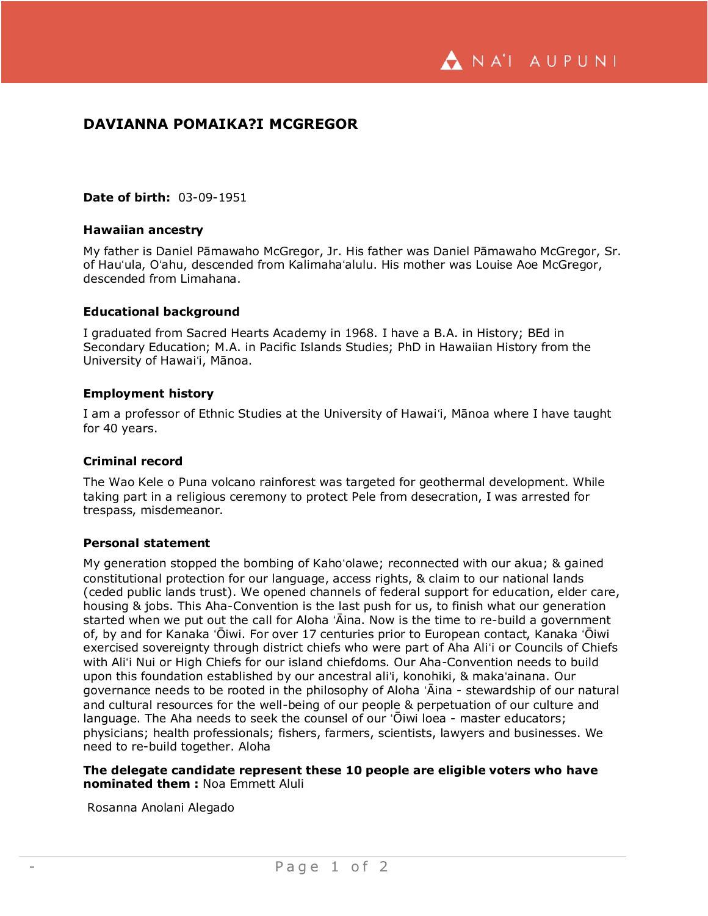A NA'I AUPUNI

# **DAVIANNA POMAIKA?I MCGREGOR**

## **Date of birth:** 03-09-1951

## **Hawaiian ancestry**

My father is Daniel Pāmawaho McGregor, Jr. His father was Daniel Pāmawaho McGregor, Sr. of Hauʻula, Oʻahu, descended from Kalimahaʻalulu. His mother was Louise Aoe McGregor, descended from Limahana.

### **Educational background**

I graduated from Sacred Hearts Academy in 1968. I have a B.A. in History; BEd in Secondary Education; M.A. in Pacific Islands Studies; PhD in Hawaiian History from the University of Hawaiʻi, Mānoa.

### **Employment history**

I am a professor of Ethnic Studies at the University of Hawaiʻi, Mānoa where I have taught for 40 years.

#### **Criminal record**

The Wao Kele o Puna volcano rainforest was targeted for geothermal development. While taking part in a religious ceremony to protect Pele from desecration, I was arrested for trespass, misdemeanor.

#### **Personal statement**

My generation stopped the bombing of Kahoʻolawe; reconnected with our akua; & gained constitutional protection for our language, access rights, & claim to our national lands (ceded public lands trust). We opened channels of federal support for education, elder care, housing & jobs. This Aha-Convention is the last push for us, to finish what our generation started when we put out the call for Aloha ʻĀina. Now is the time to re-build a government of, by and for Kanaka ʻŌiwi. For over 17 centuries prior to European contact, Kanaka ʻŌiwi exercised sovereignty through district chiefs who were part of Aha Aliʻi or Councils of Chiefs with Aliʻi Nui or High Chiefs for our island chiefdoms. Our Aha-Convention needs to build upon this foundation established by our ancestral aliʻi, konohiki, & makaʻainana. Our governance needs to be rooted in the philosophy of Aloha ʻĀina - stewardship of our natural and cultural resources for the well-being of our people & perpetuation of our culture and language. The Aha needs to seek the counsel of our ʻŌiwi loea - master educators; physicians; health professionals; fishers, farmers, scientists, lawyers and businesses. We need to re-build together. Aloha

# **The delegate candidate represent these 10 people are eligible voters who have nominated them :** Noa Emmett Aluli

Rosanna Anolani Alegado